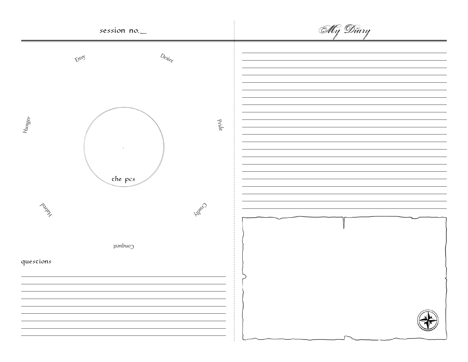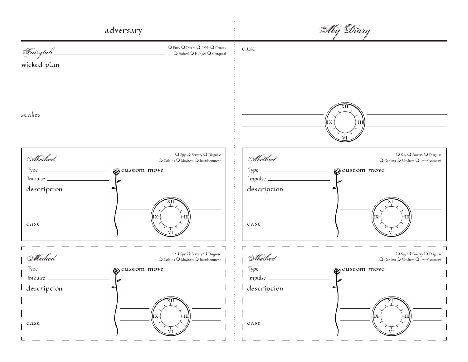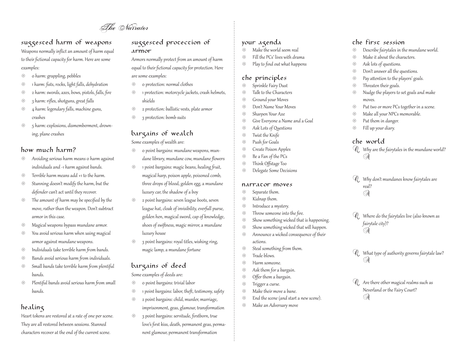The Narrator

## suggested harm of weapons

Weapons normally inflict an amount of harm equal to their fictional capacity for harm. Here are some examples:

- 0 harm: grappling, pebbles ⊕
- 1 harm: fists, rocks, light falls, dehydration ⊛
- 2 harm: swords, axes, bows, pistols, falls, fire ⊛
- 3 harm: rifles, shotguns, great falls ⊛
- 4 harm: legendary falls, machine guns, crashes ⊛
- 5 harm: explosions, dismemberment, drowning, plane crashes ⊛

## how much harm?

- Avoiding serious harm means 0 harm against individuals and -1 harm against bands. ⊛
- Terrible harm means add +1 to the harm. ⊛
- Stunning doesn't modify the harm, but the defender can't act until they recover. ⊛
- The amount of harm may be specified by the move, rather than the weapon. Don't subtract armor in this case. ⊛
- Magical weapons bypass mundane armor. ⊕
- You avoid serious harm when using magical armor against mundane weapons. ⊛
- Individuals take terrible harm from bands. ⊛
- Bands avoid serious harm from individuals. ⊛
- Small bands take terrible harm from plentiful bands.  $\circledS$
- Plentiful bands avoid serious harm from small bands. ⊛

## healing

Heart tokens are restored at a rate of one per scene. They are all restored between sessions. Stunned characters recover at the end of the current scene.

## suggested protection of Armor

Armors normally protect from an amount of harm equal to their fictional capacity for protection. Here are some examples:

- 0 protection: normal clothes ⊛
- 1 protection: motorcycle jackets, crash helmets, shields ₩
- 2 protection: ballistic vests, plate armor ⊛
- 3 protection: bomb suits ⊛

## bargains of wealch

Some examples of wealth are:

- 0 point bargains: mundane weapons, mundane library, mundane cow, mundane flowers ₩
- 1 point bargains: magic beans, healing fruit, magical harp, poison apple, poisoned comb, three drops of blood, golden egg, a mundane luxury car, the shadow of a boy €
- 2 point bargains: seven league boots, seven league hat, cloak of invisibility, everfull purse, golden hen, magical sword, cap of knowledge, shoes of swiftness, magic mirror, a mundane luxury house ⊛
- 3 point bargains: royal titles, wishing ring, magic lamp, a mundane fortune  $\circledS$

## bargains of deed

Some examples of deeds are:

- 0 point bargains: trivial labor ⊛
- 1 point bargains: labor, theft, testimony, safety ⊛
- 2 point bargains: child, murder, marriage, ⊛
- imprisonment, geas, glamour, transformation
- 3 point bargains: servitude, firstborn, true love's first kiss, death, permanent geas, permanent glamour, permanent transformation ❀

## Your Agenda

- Make the world seem real ⊛
- Fill the PCs' lives with drama ⊛
- Play to find out what happens ⊛

## the principles

- Sprinkle Fairy Dust  $\circledS$
- Talk to the Characters  $\circledS$
- Ground your Moves  $\circledS$
- Don't Name Your Moves  $\circledS$
- Sharpen Your Axe ⊛
- Give Everyone a Name and a Goal ⊛
- Ask Lots of Questions ⊛
- Twist the Knife ⊛
- Push for Goals ⊛
- Create Poison Apples ⊛
- Be a Fan of the PCs ⊛
- Think Offstage Too ⊛
- Delegate Some Decisions ⊛

#### narracor moves

#### Separate them. ₩

- Kidnap them. ⊛
- Introduce a mystery.  $\circledS$
- Throw someone into the fire. ⊛
- Show something wicked that is happening.  $\circledS$
- Show something wicked that will happen. ⊕
- Announce a wicked consequence of their actions. ⊛
- Steal something from them. ⊛
- Trade blows.  $\circledS$
- Harm someone. ⊛
- Ask them for a bargain. ₩
- Offer them a bargain. ⊛
- Trigger a curse. ⊛
- Make their move a bane. ⊛
- End the scene (and start a new scene). ⊛
- Make an Adversary move ⊛

## The First Session

- Describe fairytales in the mundane world. ⊛
- Make it about the characters. ⊛
- Ask lots of questions. ⊛
- Don't answer all the questions. ⊛
- Pay attention to the players' goals. ⊛
- Threaten their goals. ⊛
- Nudge the players to set goals and make moves. ⊛
- Put two or more PCs together in a scene. ⊛
- Make all your NPCs memorable. ⊛
- Put them in danger. ⊛
- Fill up your diary. ⊛

## The World

- Why are the fairytales in the mundane world? Q A
- Why don't mundanes know fairytales are Q real? A
- Where do the fairytales live (also known as Q fairytale city)? A
- What type of authority governs fairytale law? Q A
- Are there other magical realms such as Q Neverland or the Fairy Court? A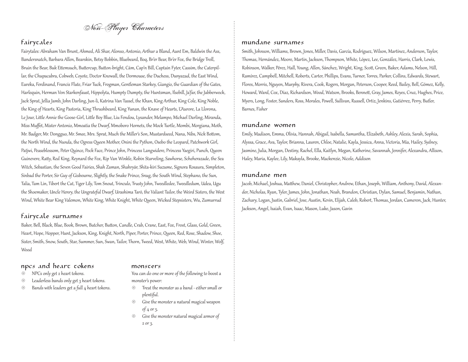Non-Player Characters

## Fairytales

Fairytales: Abraham Van Brunt, Ahmed, Ali Shar, Alonso, Antonio, Arthur a Bland, Aunt Em, Baldwin the Ass, Bandersnatch, Barbara Allen, Bearskin, Betsy Bobbin, Bluebeard, Boq, Br'er Bear, Br'er Fox, the Bridge Troll, Bruin the Bear, Buk Ettemsuch, Buttercup, Button-bright, Cám, Cap'n Bill, Captain Fyter, Cassim, the Caterpillar, the Chupacabra, Cobweb, Coyote, Doctor Knowall, the Dormouse, the Duchess, Dunyazad, the East Wind, Eureka, Ferdinand, Francis Flute, Friar Tuck, Frogman, Gentleman Starkey, Giangio, the Guardian of the Gates, Harlequin, Herman Von Starkenfaust, Hippolyta, Humpty Dumpty, the Huntsman, Ilsebill, Ja'far, the Jabberwock, Jack Sprat, Jellia Jamb, John Darling, Jun-li, Katrina Van Tassel, the Khan, King Arthur, King Cole, King Noble, the King of Hearts, King Pastoria, King Thrushbeard, King Yunan, the Knave of Hearts, L'Aurore, La Llorona, Le Jour, Little Annie the Goose-Girl, Little Boy Blue, Liu Fendou, Lysander, Melampo, Michael Darling, Miranda, Miss Muffet, Mister Antonio, Mmoatia the Dwarf, Mmoboro Hornets, the Mock Turtle, Mombi, Morgiana, Moth, Mr. Badger, Mr. Dongguo, Mr. Smee, Mrs. Sprat, Much the Miller's Son, Mustardseed, Nana, Nibs, Nick Bottom, the North Wind, the Nunda, the Ogress Queen Mother, Onini the Python, Osebo the Leopard, Patchwork Girl, Patjwi, Peaseblossom, Peter Quince, Pock Face, Prince John, Princess Langwidere, Princess Yaegiri, Punch, Queen Guinevere, Ratty, Red King, Reynard the Fox, Rip Van Winkle, Robin Starveling, Sawhorse, Scheherazade, the Sea Witch, Sebastian, the Seven Good Fairies, Shah Zaman, Shahryār, Shita-kiri Suzume, Signora Rosaura, Simpleton, Sinbad the Porter, Sir Guy of Gisbourne, Slightly, the Snake Prince, Snug, the South Wind, Stephano, the Sun, Talia, Tam Lin, Tibert the Cat, Tiger Lily, Tom Snout, Trinculo, Trusty John, Tweedledee, Tweedledum, Udea, Ugu the Shoemaker, Uncle Henry, the Ungrateful Dwarf, Urashima Tarō, the Valiant Tailor, the Weird Sisters, the West Wind, White Bear King Valemon, White King, White Knight, White Queen, Wicked Stepsisters, Wu, Zumurrud

## Fairytale Surnames

Baker, Bell, Black, Blue, Book, Brown, Butcher, Button, Candle, Crab, Crane, East, Fox, Frost, Glass, Gold, Green, Heart, Hope, Hopper, Hunt, Jackson, King, Knight, North, Piper, Porter, Prince, Queen, Red, Rose, Shadow, Shoe, Sister, Smith, Snow, South, Star, Summer, Sun, Swan, Tailor, Thorn, Tweed, West, White, Web, Wind, Winter, Wolf, Wood

## npcs and heart tokens

- NPCs only get 2 heart tokens. ⊛
- Leaderless bands only get 3 heart tokens. ⊛
- Bands with leaders get a full 4 heart tokens. 。<br>종

#### monscers

- You can do one or more of the following to boost a monster's power:
- Treat the monster as a band either small or plentiful. ⊛
- Give the monster a natural magical weapon of 4 or 5. 융)
- Give the monster natural magical armor of 2 or 3. ⊛

#### Mundane Surnames

Smith, Johnson, Williams, Brown, Jones, Miller, Davis, García, Rodríguez, Wilson, Martínez, Anderson, Taylor, Thomas, Hernández, Moore, Martin, Jackson, Thompson, White, López, Lee, González, Harris, Clark, Lewis, Robinson, Walker, Pérez, Hall, Young, Allen, Sánchez, Wright, King, Scott, Green, Baker, Adams, Nelson, Hill, Ramírez, Campbell, Mitchell, Roberts, Carter, Phillips, Evans, Turner, Torres, Parker, Collins, Edwards, Stewart, Flores, Morris, Nguyen, Murphy, Rivera, Cook, Rogers, Morgan, Peterson, Cooper, Reed, Bailey, Bell, Gómez, Kelly, Howard, Ward, Cox, Díaz, Richardson, Wood, Watson, Brooks, Bennett, Gray, James, Reyes, Cruz, Hughes, Price, Myers, Long, Foster, Sanders, Ross, Morales, Powell, Sullivan, Russell, Ortiz, Jenkins, Gutiérrez, Perry, Butler, Barnes, Fisher

#### Mundane Women

Emily, Madison, Emma, Olivia, Hannah, Abigail, Isabella, Samantha, Elizabeth, Ashley, Alexis, Sarah, Sophia, Alyssa, Grace, Ava, Taylor, Brianna, Lauren, Chloe, Natalie, Kayla, Jessica, Anna, Victoria, Mia, Hailey, Sydney, Jasmine, Julia, Morgan, Destiny, Rachel, Ella, Kaitlyn, Megan, Katherine, Savannah, Jennifer, Alexandra, Allison, Haley, Maria, Kaylee, Lily, Makayla, Brooke, Mackenzie, Nicole, Addison

#### Mundane Men

Jacob, Michael, Joshua, Matthew, Daniel, Christopher, Andrew, Ethan, Joseph, William, Anthony, David, Alexander, Nicholas, Ryan, Tyler, James, John, Jonathan, Noah, Brandon, Christian, Dylan, Samuel, Benjamin, Nathan, Zachary, Logan, Justin, Gabriel, Jose, Austin, Kevin, Elijah, Caleb, Robert, Thomas, Jordan, Cameron, Jack, Hunter, Jackson, Angel, Isaiah, Evan, Isaac, Mason, Luke, Jason, Gavin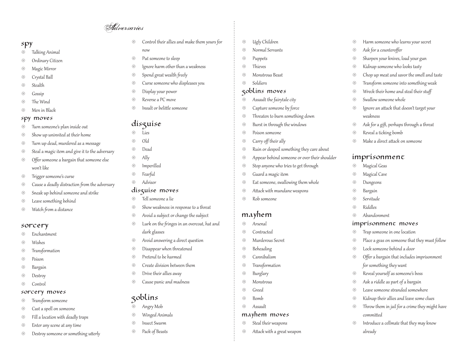# Adversaries

## Spy

- Talking Animal ⊕
- Ordinary Citizen ⊛
- Magic Mirror ⊛
- Crystal Ball ⊛
- **Stealth** Œ,
- Gossip Œ,
- The Wind ⊛
- Men in Black ⊛

### spy moves

- Turn someone's plan inside out ⊕
- Show up uninvited at their home ⊛
- Turn up dead, murdered as a message ⊛
- Steal a magic item and give it to the adversary ⊛
- Offer someone a bargain that someone else won't like ⊛
- Trigger someone's curse ⊛
- Cause a deadly distraction from the adversary ⊛
- Sneak up behind someone and strike ⊛
- Leave something behind ⊛
- Watch from a distance ⊛

#### Sorcery

- Enchantment Œ,
- Wishes Œ,
- Transformation ⊕
- Poison Œ,
- Bargain ⊛
- **Destroy** ⊛
- Control ⊛

#### Sorcery moves

- Transform someone ⊛
- Cast a spell on someone ⊛
- Fill a location with deadly traps ⊛
- Enter any scene at any time ⊛
- Destroy someone or something utterly ⊛
- Control their allies and make them yours for now ⊛
- Put someone to sleep  $\circledS$
- Ignore harm other than a weakness ⊛
- Spend great wealth freely ⊕
- Curse someone who displeases you €
- Display your power ⊛
- Reverse a PC move ⊛
- Insult or belittle someone ⊛

## disguise

- Lies ⊛
- Old ⊛
- Dead ⊛
- Ally ⊛
- Imperilled ⊛
- Fearful ⊛
- Advisor  $\langle \overline{\varphi} \rangle$

## disguise moves

- Tell someone a lie ⊛
- Show weakness in response to a threat €
- Avoid a subject or change the subject ⊛
- Lurk on the fringes in an overcoat, hat and dark glasses ⊛
- Avoid answering a direct question ⊛
- Disappear when threatened ⊛
- Pretend to be harmed €
- Create division between them ⊛
- Drive their allies away ₩
- Cause panic and madness ⊛

## Goblins

- Angry Mob ⊕
- Winged Animals ⊛
- Insect Swarm ₩
- Pack of Beasts €
- Ugly Children ⊛
- Normal Servants ⊛
- Puppets ⊛
- Thieves ⊛
- Monstrous Beast ⊛
- Soldiers ⊕

## Goblins moves

- Assault the fairytale city ⊕
- Capture someone by force  $\circledS$
- Threaten to burn something down ⊛
- Burst in through the windows ⊕
- Poison someone ⊛
- Carry off their ally ⊛
- Ruin or despoil something they care about ₩
- Appear behind someone or over their shoulder ⊛

Harm someone who learns your secret

Sharpen your knives, load your gun Kidnap someone who looks tasty

Chop up meat and savor the smell and taste Transform someone into something weak Wreck their home and steal their stuff

Ignore an attack that doesn't target your

Ask for a gift, perhaps through a threat

Make a direct attack on someone

Ask for a counteroffer

⊛ ⊛ ⊛  $\circledS$ ⊕ ⊛ ⊛ ⊛ €

⊕ ⊛ ⊛

⊛ ⊛ ⊛  $\circledS$ ⊛  $\langle \overline{\varphi} \rangle$ €?

€  $\circledS$ ⊛ €

⊕ ⊛ ⊛ ⊛  $\circledS$ 

⊛

Swallow someone whole

Reveal a ticking bomb

imprisonment Magical Geas Magical Cave Dungeons Bargain Servitude Riddles Abandonment

Imprisonment moves Trap someone in one location

Lock someone behind a door

for something they want Reveal yourself as someone's boss Ask a riddle as part of a bargain Leave someone stranded somewhere Kidnap their allies and leave some clues Throw them in jail for a crime they might have

committed

already

Place a geas on someone that they must follow

Offer a bargain that includes imprisonment

Introduce a cellmate that they may know

weakness

- Stop anyone who tries to get through ⊛
- Guard a magic item ₩
- Eat someone, swallowing them whole ⊛
- Attack with mundane weapons ⊛
- Rob someone ₩

## Mayhem

- Arsenal  $\bigoplus$
- Contracted ⊛
- Murderous Secret ⊛
- Beheading ₩
- Cannibalism ⊛
- Transformation ⊛
- Burglary ⊛
- Monstrous €
- Greed ⊛

₩ ⊛

- Bomb ₩
- Assault  $\langle \overline{\varphi} \rangle$

#### mayhem moves

Steal their weapons Attack with a great weapon